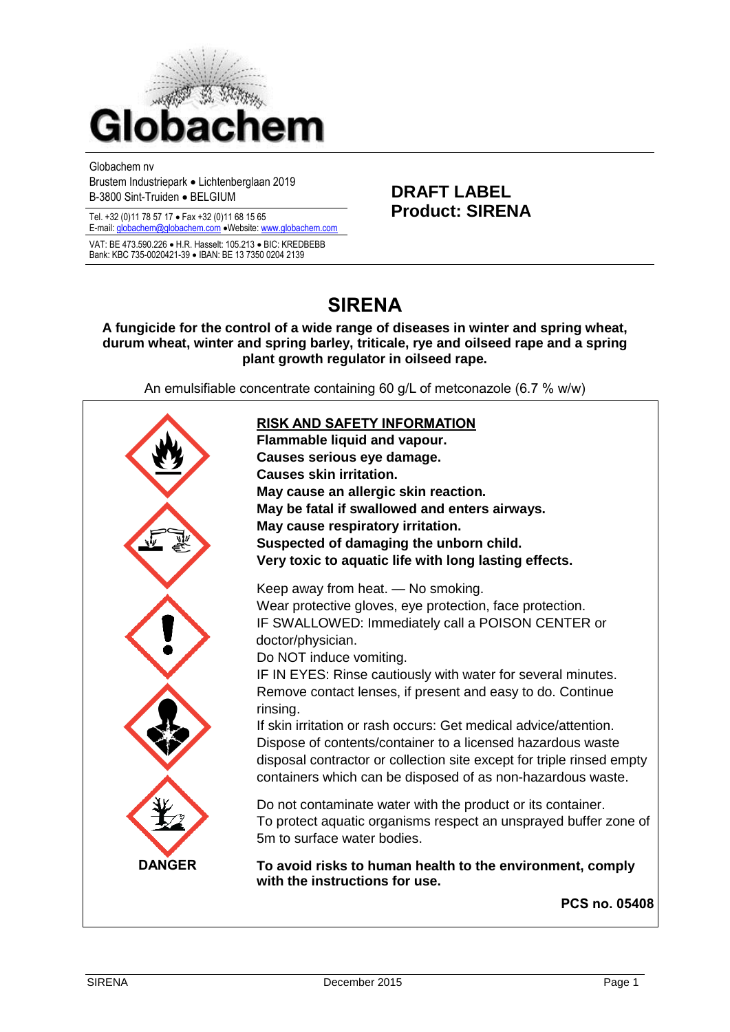

Globachem nv Brustem Industriepark Lichtenberglaan 2019

Tel. +32 (0)11 78 57 17 · Fax +32 (0)11 68 15 65

E-mail[: globachem@globachem.com](mailto:globachem@globachem.com) . Website[: www.globachem.com](mailto:globachem@globachem.com) VAT: BE 473.590.226 · H.R. Hasselt: 105.213 · BIC: KREDBEBB Bank: KBC 735-0020421-39 · IBAN: BE 13 7350 0204 2139

Brustell Industriepark • Elchleribergiaan 2013<br>B-3800 Sint-Truiden • BELGIUM **DRAFT LABEL**<br>**Product: SIRENA** 

# **SIRENA**

**A fungicide for the control of a wide range of diseases in winter and spring wheat, durum wheat, winter and spring barley, triticale, rye and oilseed rape and a spring plant growth regulator in oilseed rape.** 

An emulsifiable concentrate containing 60 g/L of metconazole (6.7 % w/w)

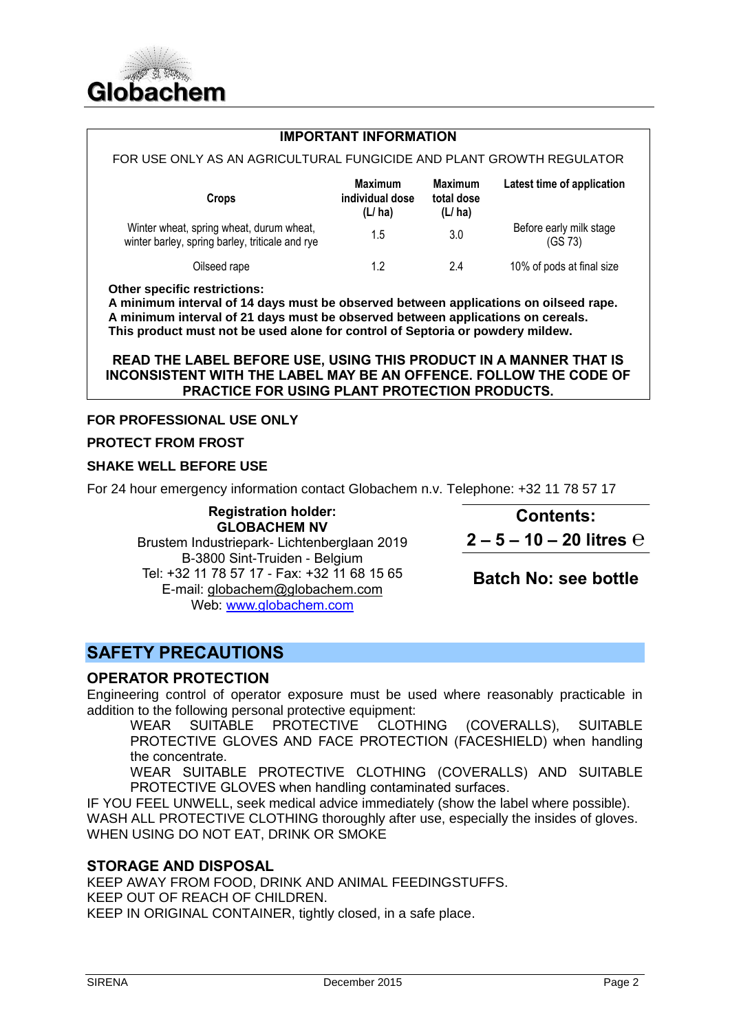

#### **IMPORTANT INFORMATION**

| FOR USE ONLY AS AN AGRICULTURAL FUNGICIDE AND PLANT GROWTH REGULATOR                        |                                             |                                        |                                    |
|---------------------------------------------------------------------------------------------|---------------------------------------------|----------------------------------------|------------------------------------|
| <b>Crops</b>                                                                                | <b>Maximum</b><br>individual dose<br>(L/ha) | <b>Maximum</b><br>total dose<br>(L/ha) | Latest time of application         |
| Winter wheat, spring wheat, durum wheat,<br>winter barley, spring barley, triticale and rye | 1.5                                         | 3.0                                    | Before early milk stage<br>(GS 73) |
| Oilseed rape                                                                                | 12                                          | 2.4                                    | 10% of pods at final size          |

**Other specific restrictions:** 

**A minimum interval of 14 days must be observed between applications on oilseed rape. A minimum interval of 21 days must be observed between applications on cereals. This product must not be used alone for control of Septoria or powdery mildew.**

#### **READ THE LABEL BEFORE USE, USING THIS PRODUCT IN A MANNER THAT IS INCONSISTENT WITH THE LABEL MAY BE AN OFFENCE. FOLLOW THE CODE OF PRACTICE FOR USING PLANT PROTECTION PRODUCTS.**

#### **FOR PROFESSIONAL USE ONLY**

#### **PROTECT FROM FROST**

### **SHAKE WELL BEFORE USE**

For 24 hour emergency information contact Globachem n.v. Telephone: +32 11 78 57 17

**Registration holder: GLOBACHEM NV** Brustem Industriepark- Lichtenberglaan 2019 B-3800 Sint-Truiden - Belgium Tel: +32 11 78 57 17 - Fax: +32 11 68 15 65 E-mail: [globachem@globachem.com](mailto:globachem@globachem.com) Web: [www.globachem.com](http://www.globachem.com/)

**Contents: 2 – 5 – 10 – 20 litres ℮**

**Batch No: see bottle**

# **SAFETY PRECAUTIONS**

# **OPERATOR PROTECTION**

Engineering control of operator exposure must be used where reasonably practicable in addition to the following personal protective equipment:

WEAR SUITABLE PROTECTIVE CLOTHING (COVERALLS), SUITABLE PROTECTIVE GLOVES AND FACE PROTECTION (FACESHIELD) when handling the concentrate.

WEAR SUITABLE PROTECTIVE CLOTHING (COVERALLS) AND SUITABLE PROTECTIVE GLOVES when handling contaminated surfaces.

IF YOU FEEL UNWELL, seek medical advice immediately (show the label where possible). WASH ALL PROTECTIVE CLOTHING thoroughly after use, especially the insides of gloves. WHEN USING DO NOT EAT, DRINK OR SMOKE

# **STORAGE AND DISPOSAL**

KEEP AWAY FROM FOOD, DRINK AND ANIMAL FEEDINGSTUFFS. KEEP OUT OF REACH OF CHILDREN. KEEP IN ORIGINAL CONTAINER, tightly closed, in a safe place.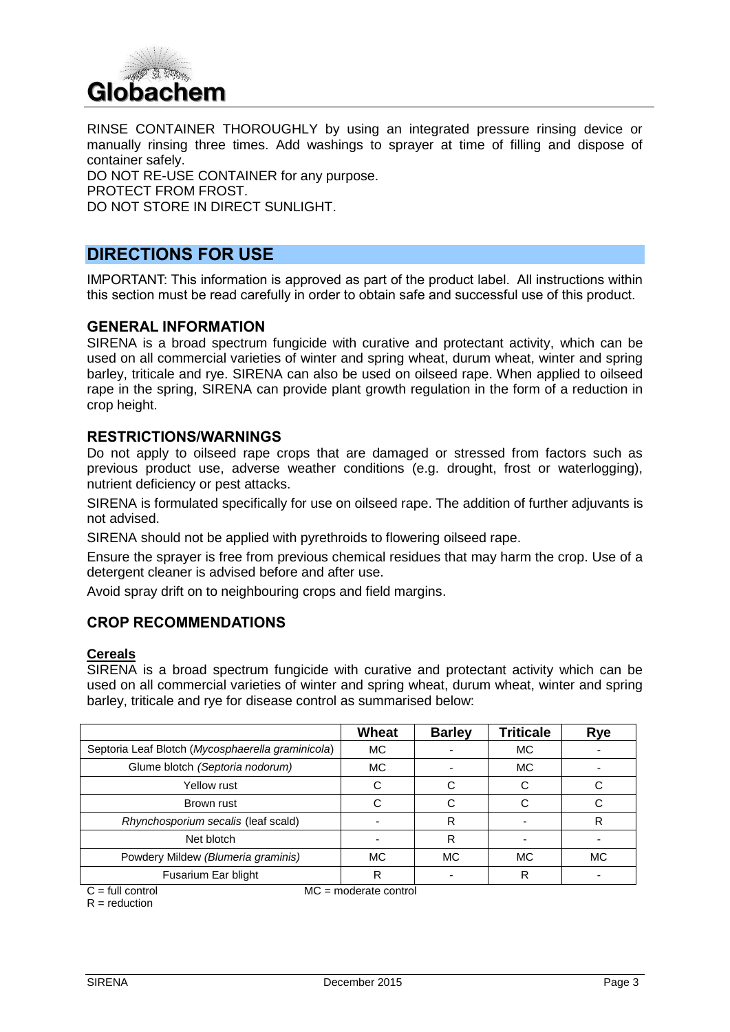

RINSE CONTAINER THOROUGHLY by using an integrated pressure rinsing device or manually rinsing three times. Add washings to sprayer at time of filling and dispose of container safely.

DO NOT RE-USE CONTAINER for any purpose. PROTECT FROM FROST. DO NOT STORE IN DIRECT SUNLIGHT.

# **DIRECTIONS FOR USE**

IMPORTANT: This information is approved as part of the product label. All instructions within this section must be read carefully in order to obtain safe and successful use of this product.

#### **GENERAL INFORMATION**

SIRENA is a broad spectrum fungicide with curative and protectant activity, which can be used on all commercial varieties of winter and spring wheat, durum wheat, winter and spring barley, triticale and rye. SIRENA can also be used on oilseed rape. When applied to oilseed rape in the spring, SIRENA can provide plant growth regulation in the form of a reduction in crop height.

#### **RESTRICTIONS/WARNINGS**

Do not apply to oilseed rape crops that are damaged or stressed from factors such as previous product use, adverse weather conditions (e.g. drought, frost or waterlogging), nutrient deficiency or pest attacks.

SIRENA is formulated specifically for use on oilseed rape. The addition of further adjuvants is not advised.

SIRENA should not be applied with pyrethroids to flowering oilseed rape.

Ensure the sprayer is free from previous chemical residues that may harm the crop. Use of a detergent cleaner is advised before and after use.

Avoid spray drift on to neighbouring crops and field margins.

### **CROP RECOMMENDATIONS**

#### **Cereals**

SIRENA is a broad spectrum fungicide with curative and protectant activity which can be used on all commercial varieties of winter and spring wheat, durum wheat, winter and spring barley, triticale and rye for disease control as summarised below:

|                                                   | Wheat     | <b>Barley</b> | <b>Triticale</b> | Rye       |
|---------------------------------------------------|-----------|---------------|------------------|-----------|
| Septoria Leaf Blotch (Mycosphaerella graminicola) | МC        |               | МC               |           |
| Glume blotch (Septoria nodorum)                   | <b>MC</b> |               | <b>MC</b>        |           |
| Yellow rust                                       |           |               |                  |           |
| Brown rust                                        |           |               |                  |           |
| Rhynchosporium secalis (leaf scald)               |           | R             |                  | R         |
| Net blotch                                        |           | R             |                  |           |
| Powdery Mildew (Blumeria graminis)                | МC        | MC.           | <b>MC</b>        | <b>MC</b> |
| Fusarium Ear blight                               |           |               | R                |           |

 $C = \text{full control}$  MC = moderate control

 $R =$  reduction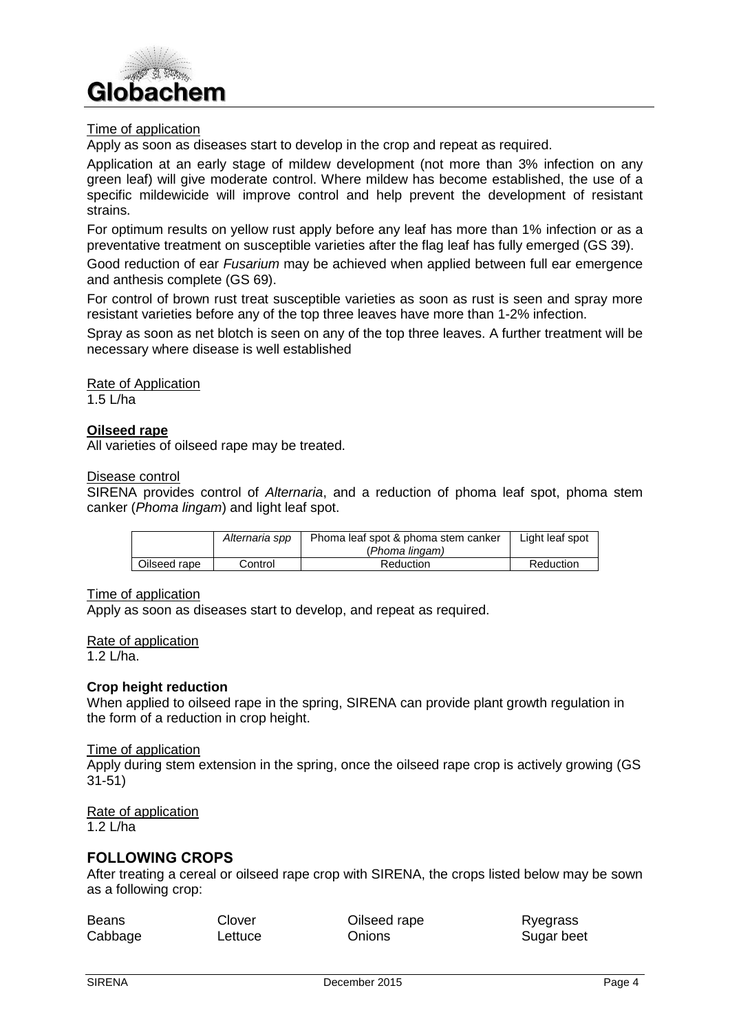

#### Time of application

Apply as soon as diseases start to develop in the crop and repeat as required.

Application at an early stage of mildew development (not more than 3% infection on any green leaf) will give moderate control. Where mildew has become established, the use of a specific mildewicide will improve control and help prevent the development of resistant strains.

For optimum results on yellow rust apply before any leaf has more than 1% infection or as a preventative treatment on susceptible varieties after the flag leaf has fully emerged (GS 39).

Good reduction of ear *Fusarium* may be achieved when applied between full ear emergence and anthesis complete (GS 69).

For control of brown rust treat susceptible varieties as soon as rust is seen and spray more resistant varieties before any of the top three leaves have more than 1-2% infection.

Spray as soon as net blotch is seen on any of the top three leaves. A further treatment will be necessary where disease is well established

Rate of Application 1.5 L/ha

#### **Oilseed rape**

All varieties of oilseed rape may be treated.

#### Disease control

SIRENA provides control of *Alternaria*, and a reduction of phoma leaf spot, phoma stem canker (*Phoma lingam*) and light leaf spot.

|              | Alternaria spp | Phoma leaf spot & phoma stem canker | Light leaf spot |
|--------------|----------------|-------------------------------------|-----------------|
|              |                | (Phoma lingam)                      |                 |
| Oilseed rape | Control        | Reduction                           | Reduction       |

#### Time of application

Apply as soon as diseases start to develop, and repeat as required.

#### Rate of application

 $1.2$  L/ha

#### **Crop height reduction**

When applied to oilseed rape in the spring, SIRENA can provide plant growth regulation in the form of a reduction in crop height.

#### Time of application

Apply during stem extension in the spring, once the oilseed rape crop is actively growing (GS 31-51)

#### Rate of application 1.2 L/ha

#### **FOLLOWING CROPS**

After treating a cereal or oilseed rape crop with SIRENA, the crops listed below may be sown as a following crop:

| <b>Beans</b> | Clover  | Oilseed rape | Ryegrass   |
|--------------|---------|--------------|------------|
| Cabbage      | ∟ettuce | Onions       | Sugar beet |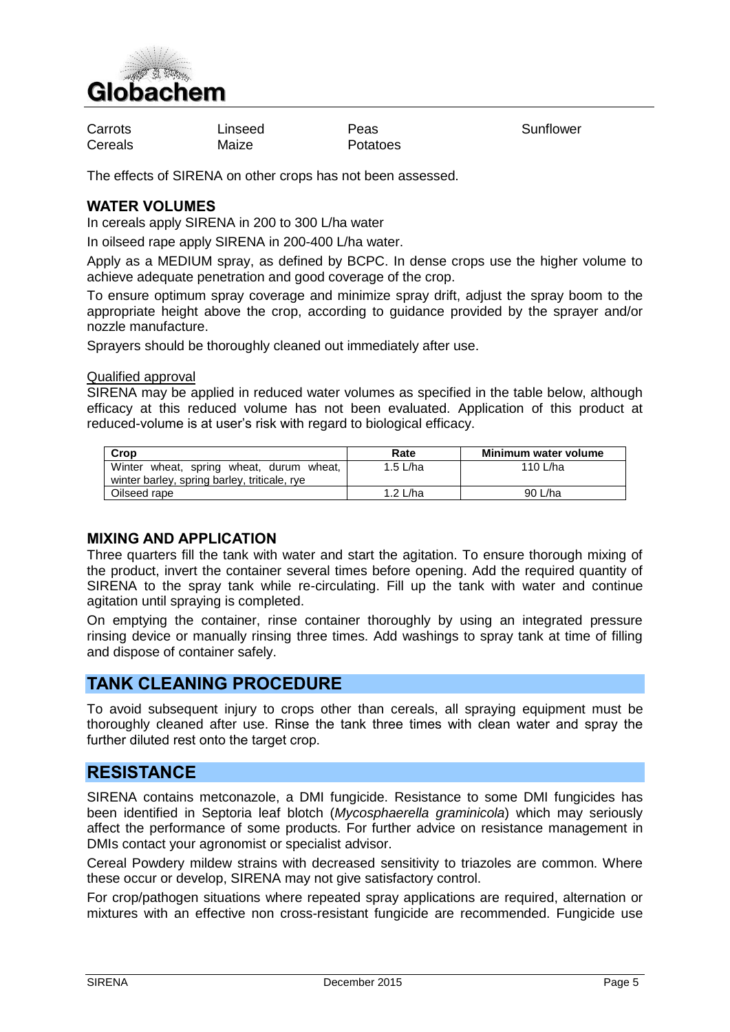

Carrots **Carrots** Linseed Peas Peas Sunflower Cereals Maize Potatoes

The effects of SIRENA on other crops has not been assessed.

# **WATER VOLUMES**

In cereals apply SIRENA in 200 to 300 L/ha water

In oilseed rape apply SIRENA in 200-400 L/ha water.

Apply as a MEDIUM spray, as defined by BCPC. In dense crops use the higher volume to achieve adequate penetration and good coverage of the crop.

To ensure optimum spray coverage and minimize spray drift, adjust the spray boom to the appropriate height above the crop, according to guidance provided by the sprayer and/or nozzle manufacture.

Sprayers should be thoroughly cleaned out immediately after use.

Qualified approval

SIRENA may be applied in reduced water volumes as specified in the table below, although efficacy at this reduced volume has not been evaluated. Application of this product at reduced-volume is at user's risk with regard to biological efficacy.

| Crop                                                                                     | Rate       | Minimum water volume |
|------------------------------------------------------------------------------------------|------------|----------------------|
| Winter wheat, spring wheat, durum wheat,<br>winter barley, spring barley, triticale, rye | 1.5 $L/ha$ | 110 L/ha             |
| Oilseed rape                                                                             | 1.2 $L/ha$ | 90 L/ha              |

### **MIXING AND APPLICATION**

Three quarters fill the tank with water and start the agitation. To ensure thorough mixing of the product, invert the container several times before opening. Add the required quantity of SIRENA to the spray tank while re-circulating. Fill up the tank with water and continue agitation until spraying is completed.

On emptying the container, rinse container thoroughly by using an integrated pressure rinsing device or manually rinsing three times. Add washings to spray tank at time of filling and dispose of container safely.

# **TANK CLEANING PROCEDURE**

To avoid subsequent injury to crops other than cereals, all spraying equipment must be thoroughly cleaned after use. Rinse the tank three times with clean water and spray the further diluted rest onto the target crop.

# **RESISTANCE**

SIRENA contains metconazole, a DMI fungicide. Resistance to some DMI fungicides has been identified in Septoria leaf blotch (*Mycosphaerella graminicola*) which may seriously affect the performance of some products. For further advice on resistance management in DMIs contact your agronomist or specialist advisor.

Cereal Powdery mildew strains with decreased sensitivity to triazoles are common. Where these occur or develop, SIRENA may not give satisfactory control.

For crop/pathogen situations where repeated spray applications are required, alternation or mixtures with an effective non cross-resistant fungicide are recommended. Fungicide use